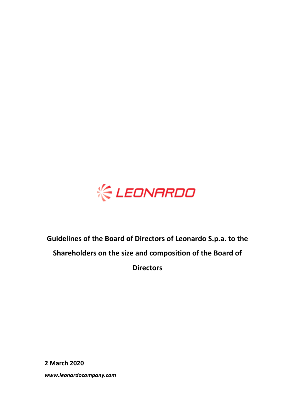

# **Guidelines of the Board of Directors of Leonardo S.p.a. to the Shareholders on the size and composition of the Board of Directors**

**2 March 2020**

*www.leonardocompany.com*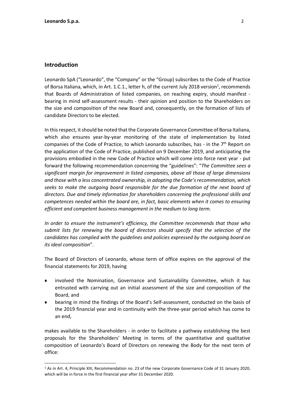#### **Introduction**

**.** 

Leonardo SpA ("Leonardo", the "Company" or the "Group) subscribes to the Code of Practice of Borsa Italiana, which, in Art. 1.C.1., letter h, of the current July 2018 version<sup>1</sup>, recommends that Boards of Administration of listed companies, on reaching expiry, should manifest bearing in mind self-assessment results - their opinion and position to the Shareholders on the size and composition of the new Board and, consequently, on the formation of lists of candidate Directors to be elected.

In this respect, it should be noted that the Corporate Governance Committee of Borsa Italiana, which also ensures year-by-year monitoring of the state of implementation by listed companies of the Code of Practice, to which Leonardo subscribes, has - in the 7<sup>th</sup> Report on the application of the Code of Practice, published on 9 December 2019, and anticipating the provisions embodied in the new Code of Practice which will come into force next year - put forward the following recommendation concerning the "guidelines": "*The Committee sees a significant margin for improvement in listed companies, above all those of large dimensions and those with a less concentrated ownership, in adopting the Code's recommendation, which seeks to make the outgoing board responsible for the due formation of the next board of directors. Due and timely information for shareholders concerning the professional skills and competences needed within the board are, in fact, basic elements when it comes to ensuring efficient and competent business management in the medium to long term.*

*In order to ensure the instrument's efficiency, the Committee recommends that those who submit lists for renewing the board of directors should specify that the selection of the candidates has complied with the guidelines and policies expressed by the outgoing board on its ideal composition*".

The Board of Directors of Leonardo, whose term of office expires on the approval of the financial statements for 2019, having

- involved the Nomination, Governance and Sustainability Committee, which it has entrusted with carrying out an initial assessment of the size and composition of the Board, and
- bearing in mind the findings of the Board's Self-assessment, conducted on the basis of the 2019 financial year and in continuity with the three-year period which has come to an end,

makes available to the Shareholders - in order to facilitate a pathway establishing the best proposals for the Shareholders' Meeting in terms of the quantitative and qualitative composition of Leonardo's Board of Directors on renewing the Body for the next term of office:

<sup>1</sup> As in Art. 4, Principle XIII, Recommendation no. 23 of the new Corporate Governance Code of 31 January 2020, which will be in force in the first financial year after 31 December 2020.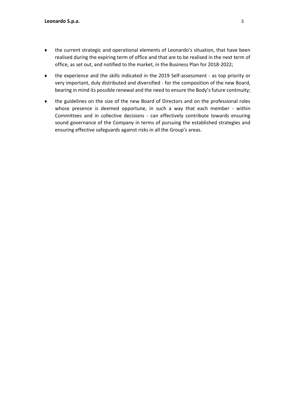- the current strategic and operational elements of Leonardo's situation, that have been realised during the expiring term of office and that are to be realised in the next term of office, as set out, and notified to the market, in the Business Plan for 2018-2022;
- the experience and the skills indicated in the 2019 Self-assessment as top priority or very important, duly distributed and diversified - for the composition of the new Board, bearing in mind its possible renewal and the need to ensure the Body's future continuity;
- the guidelines on the size of the new Board of Directors and on the professional roles whose presence is deemed opportune, in such a way that each member - within Committees and in collective decisions - can effectively contribute towards ensuring sound governance of the Company in terms of pursuing the established strategies and ensuring effective safeguards against risks in all the Group's areas.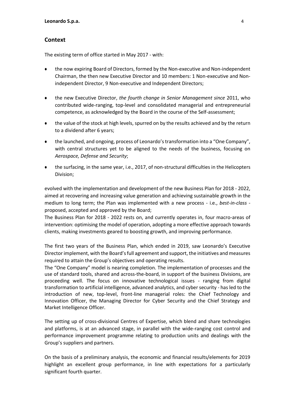### **Context**

The existing term of office started in May 2017 - with:

- the now expiring Board of Directors, formed by the Non-executive and Non-independent Chairman, the then new Executive Director and 10 members: 1 Non-executive and Nonindependent Director, 9 Non-executive and Independent Directors;
- the new Executive Director, *the fourth change in Senior Management since* 2011, who contributed wide-ranging, top-level and consolidated managerial and entrepreneurial competence, as acknowledged by the Board in the course of the Self-assessment;
- the value of the stock at high levels, spurred on by the results achieved and by the return to a dividend after 6 years;
- the launched, and ongoing, process of Leonardo's transformation into a "One Company", with central structures yet to be aligned to the needs of the business, focusing on *Aerospace, Defense and Security*;
- the surfacing, in the same year, i.e., 2017, of non-structural difficulties in the Helicopters Division;

evolved with the implementation and development of the new Business Plan for 2018 - 2022, aimed at recovering and increasing value generation and achieving sustainable growth in the medium to long term; the Plan was implemented with a new process - i.e., *best-in-class* proposed, accepted and approved by the Board;

The Business Plan for 2018 - 2022 rests on, and currently operates in, four macro-areas of intervention: optimising the model of operation, adopting a more effective approach towards clients, making investments geared to boosting growth, and improving performance.

The first two years of the Business Plan, which ended in 2019, saw Leonardo's Executive Director implement, with the Board's full agreement and support, the initiatives and measures required to attain the Group's objectives and operating results.

The "One Company" model is nearing completion. The implementation of processes and the use of standard tools, shared and across-the-board, in support of the business Divisions, are proceeding well. The focus on innovative technological issues - ranging from digital transformation to artificial intelligence, advanced analytics, and cyber security - has led to the introduction of new, top-level, front-line managerial roles: the Chief Technology and Innovation Officer, the Managing Director for Cyber Security and the Chief Strategy and Market Intelligence Officer.

The setting up of cross-divisional Centres of Expertise, which blend and share technologies and platforms, is at an advanced stage, in parallel with the wide-ranging cost control and performance improvement programme relating to production units and dealings with the Group's suppliers and partners.

On the basis of a preliminary analysis, the economic and financial results/elements for 2019 highlight an excellent group performance, in line with expectations for a particularly significant fourth quarter.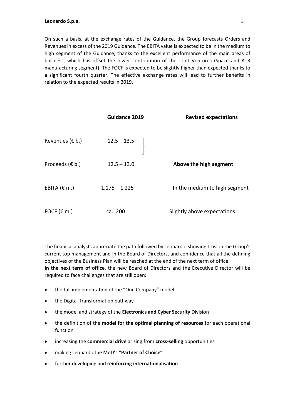#### **Leonardo S.p.a.** 5

On such a basis, at the exchange rates of the Guidance, the Group forecasts Orders and Revenues in excess of the 2019 Guidance. The EBITA value is expected to be in the medium to high segment of the Guidance, thanks to the excellent performance of the main areas of business, which has offset the lower contribution of the Joint Ventures (Space and ATR manufacturing segment). The FOCF is expected to be slightly higher than expected thanks to a significant fourth quarter. The effective exchange rates will lead to further benefits in relation to the expected results in 2019.

|                           | Guidance 2019   | <b>Revised expectations</b>   |
|---------------------------|-----------------|-------------------------------|
| Revenues ( $\epsilon$ b.) | $12.5 - 13.5$   |                               |
| Proceeds $(E b.)$         | $12.5 - 13.0$   | Above the high segment        |
| EBITA $(\epsilon$ m.)     | $1,175 - 1,225$ | In the medium to high segment |
| FOCF ( $\epsilon$ m.)     | ca. 200         | Slightly above expectations   |

The financial analysts appreciate the path followed by Leonardo, showing trust in the Group's current top management and in the Board of Directors, and confidence that all the defining objectives of the Business Plan will be reached at the end of the next term of office. **In the next term of office**, the new Board of Directors and the Executive Director will be required to face challenges that are still open:

- the full implementation of the "One Company" model
- the Digital Transformation pathway
- the model and strategy of the **Electronics and Cyber Security** Division
- the definition of the **model for the optimal planning of resources** for each operational function
- increasing the **commercial drive** arising from **cross-selling** opportunities
- making Leonardo the MoD's "**Partner of Choice**"
- further developing and **reinforcing internationalisation**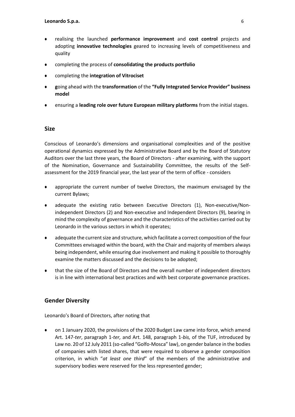- realising the launched **performance improvement** and **cost control** projects and adopting **innovative technologies** geared to increasing levels of competitiveness and quality
- completing the process of **consolidating the products portfolio**
- completing the **integration of Vitrociset**
- **g**oing ahead with the **transformation** of the **"Fully Integrated Service Provider" business model**
- ensuring a **leading role over future European military platforms** from the initial stages.

#### **Size**

Conscious of Leonardo's dimensions and organisational complexities and of the positive operational dynamics expressed by the Administrative Board and by the Board of Statutory Auditors over the last three years, the Board of Directors - after examining, with the support of the Nomination, Governance and Sustainability Committee, the results of the Selfassessment for the 2019 financial year, the last year of the term of office - considers

- appropriate the current number of twelve Directors, the maximum envisaged by the current Bylaws;
- adequate the existing ratio between Executive Directors (1), Non-executive/Nonindependent Directors (2) and Non-executive and Independent Directors (9), bearing in mind the complexity of governance and the characteristics of the activities carried out by Leonardo in the various sectors in which it operates;
- adequate the current size and structure, which facilitate a correct composition of the four Committees envisaged within the board, with the Chair and majority of members always being independent, while ensuring due involvement and making it possible to thoroughly examine the matters discussed and the decisions to be adopted;
- that the size of the Board of Directors and the overall number of independent directors is in line with international best practices and with best corporate governance practices.

#### **Gender Diversity**

Leonardo's Board of Directors, after noting that

 on 1 January 2020, the provisions of the 2020 Budget Law came into force, which amend Art. 147-*ter*, paragraph 1-*ter,* and Art. 148, paragraph 1-*bis,* of the TUF, introduced by Law no. 20 of 12 July 2011 (so-called "Golfo-Mosca" law), on gender balance in the bodies of companies with listed shares, that were required to observe a gender composition criterion, in which "*at least one third*" of the members of the administrative and supervisory bodies were reserved for the less represented gender;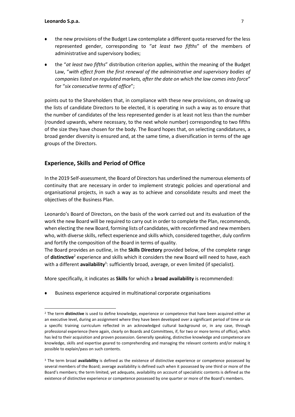**-**

- the new provisions of the Budget Law contemplate a different quota reserved for the less represented gender, corresponding to "*at least two fifths*" of the members of administrative and supervisory bodies;
- the "*at least two fifths*" distribution criterion applies, within the meaning of the Budget Law, "*with effect from the first renewal of the administrative and supervisory bodies of companies listed on regulated markets, after the date on which the law comes into force*" for "*six consecutive terms of office*";

points out to the Shareholders that, in compliance with these new provisions, on drawing up the lists of candidate Directors to be elected, it is operating in such a way as to ensure that the number of candidates of the less represented gender is at least not less than the number (rounded upwards, where necessary, to the next whole number) corresponding to two fifths of the size they have chosen for the body. The Board hopes that, on selecting candidatures, a broad gender diversity is ensured and, at the same time, a diversification in terms of the age groups of the Directors.

## **Experience, Skills and Period of Office**

In the 2019 Self-assessment, the Board of Directors has underlined the numerous elements of continuity that are necessary in order to implement strategic policies and operational and organisational projects, in such a way as to achieve and consolidate results and meet the objectives of the Business Plan.

Leonardo's Board of Directors, on the basis of the work carried out and its evaluation of the work the new Board will be required to carry out in order to complete the Plan, recommends, when electing the new Board, forming lists of candidates, with reconfirmed and new members who, with diverse skills, reflect experience and skills which, considered together, duly confirm and fortify the composition of the Board in terms of quality.

The Board provides an outline, in the **Skills Directory** provided below, of the complete range of **distinctive**<sup>2</sup> experience and skills which it considers the new Board will need to have, each with a different availability<sup>3</sup>: sufficiently broad, average, or even limited (if specialist).

More specifically, it indicates as **Skills** for which a **broad availability** is recommended:

Business experience acquired in multinational corporate organisations

<sup>2</sup> The term **distinctive** is used to define knowledge, experience or competence that have been acquired either at an executive level, during an assignment where they have been developed over a significant period of time or via a specific training curriculum reflected in an acknowledged cultural background or, in any case, through professional experience (here again, clearly on Boards and Committees, if, for two or more terms of office), which has led to their acquisition and proven possession. Generally speaking, distinctive knowledge and competence are knowledge, skills and expertise geared to comprehending and managing the relevant contents and/or making it possible to explain/pass on such contents.

<sup>3</sup> The term broad **availability** is defined as the existence of distinctive experience or competence possessed by several members of the Board; average availability is defined such when it possessed by one third or more of the Board's members; the term limited, yet adequate, availability on account of specialistic contents is defined as the existence of distinctive experience or competence possessed by one quarter or more of the Board's members.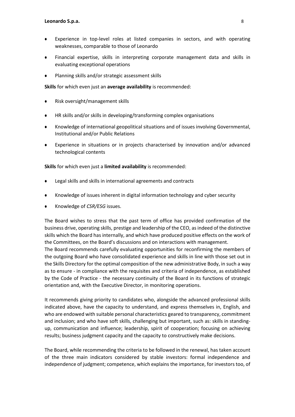- Experience in top-level roles at listed companies in sectors, and with operating weaknesses, comparable to those of Leonardo
- Financial expertise, skills in interpreting corporate management data and skills in evaluating exceptional operations
- Planning skills and/or strategic assessment skills

**Skills** for which even just an **average availability** is recommended:

- Risk oversight/management skills
- HR skills and/or skills in developing/transforming complex organisations
- Knowledge of international geopolitical situations and of issues involving Governmental, Institutional and/or Public Relations
- Experience in situations or in projects characterised by innovation and/or advanced technological contents

**Skills** for which even just a **limited availability** is recommended:

- Legal skills and skills in international agreements and contracts
- Knowledge of issues inherent in digital information technology and cyber security
- Knowledge of *CSR/ESG* issues.

The Board wishes to stress that the past term of office has provided confirmation of the business drive, operating skills, prestige and leadership of the CEO, as indeed of the distinctive skills which the Board has internally, and which have produced positive effects on the work of the Committees, on the Board's discussions and on interactions with management. The Board recommends carefully evaluating opportunities for reconfirming the members of

the outgoing Board who have consolidated experience and skills in line with those set out in the Skills Directory for the optimal composition of the new administrative Body, in such a way as to ensure - in compliance with the requisites and criteria of independence, as established by the Code of Practice - the necessary continuity of the Board in its functions of strategic orientation and, with the Executive Director, in monitoring operations.

It recommends giving priority to candidates who, alongside the advanced professional skills indicated above, have the capacity to understand, and express themselves in, English, and who are endowed with suitable personal characteristics geared to transparency, commitment and inclusion; and who have soft skills, challenging but important, such as: skills in standingup, communication and influence; leadership, spirit of cooperation; focusing on achieving results; business judgment capacity and the capacity to constructively make decisions.

The Board, while recommending the criteria to be followed in the renewal, has taken account of the three main indicators considered by stable investors: formal independence and independence of judgment; competence, which explains the importance, for investors too, of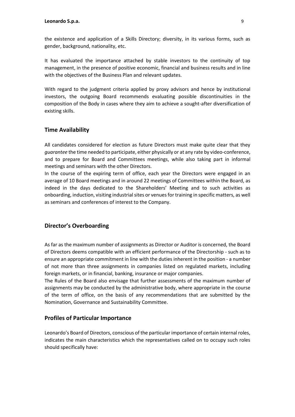the existence and application of a Skills Directory; diversity, in its various forms, such as gender, background, nationality, etc.

It has evaluated the importance attached by stable investors to the continuity of top management, in the presence of positive economic, financial and business results and in line with the objectives of the Business Plan and relevant updates.

With regard to the judgment criteria applied by proxy advisors and hence by institutional investors, the outgoing Board recommends evaluating possible discontinuities in the composition of the Body in cases where they aim to achieve a sought-after diversification of existing skills.

# **Time Availability**

All candidates considered for election as future Directors must make quite clear that they *guarantee* the time needed to participate, either physically or at any rate by video-conference, and to prepare for Board and Committees meetings, while also taking part in informal meetings and seminars with the other Directors.

In the course of the expiring term of office, each year the Directors were engaged in an average of 10 Board meetings and in around 22 meetings of Committees within the Board, as indeed in the days dedicated to the Shareholders' Meeting and to such activities as onboarding, induction, visiting industrial sites or venues for training in specific matters, as well as seminars and conferences of interest to the Company.

#### **Director's Overboarding**

As far as the maximum number of assignments as Director or Auditor is concerned, the Board of Directors deems compatible with an efficient performance of the Directorship - such as to ensure an appropriate commitment in line with the duties inherent in the position - a number of not more than three assignments in companies listed on regulated markets, including foreign markets, or in financial, banking, insurance or major companies.

The Rules of the Board also envisage that further assessments of the maximum number of assignments may be conducted by the administrative body, where appropriate in the course of the term of office, on the basis of any recommendations that are submitted by the Nomination, Governance and Sustainability Committee.

#### **Profiles of Particular Importance**

Leonardo's Board of Directors, conscious of the particular importance of certain internal roles, indicates the main characteristics which the representatives called on to occupy such roles should specifically have: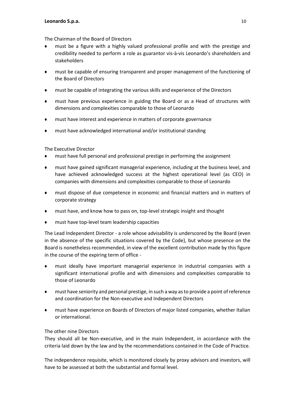The Chairman of the Board of Directors

- must be a figure with a highly valued professional profile and with the prestige and credibility needed to perform a role as guarantor vis-à-vis Leonardo's shareholders and stakeholders
- must be capable of ensuring transparent and proper management of the functioning of the Board of Directors
- must be capable of integrating the various skills and experience of the Directors
- must have previous experience in guiding the Board or as a Head of structures with dimensions and complexities comparable to those of Leonardo
- must have interest and experience in matters of corporate governance
- must have acknowledged international and/or institutional standing

The Executive Director

- must have full personal and professional prestige in performing the assignment
- must have gained significant managerial experience, including at the business level, and have achieved acknowledged success at the highest operational level (as CEO) in companies with dimensions and complexities comparable to those of Leonardo
- must dispose of due competence in economic and financial matters and in matters of corporate strategy
- must have, and know how to pass on, top-level strategic insight and thought
- must have top-level team leadership capacities

The Lead Independent Director - a role whose advisability is underscored by the Board (even in the absence of the specific situations covered by the Code), but whose presence on the Board is nonetheless recommended, in view of the excellent contribution made by this figure in the course of the expiring term of office -

- must ideally have important managerial experience in industrial companies with a significant international profile and with dimensions and complexities comparable to those of Leonardo
- must have seniority and personal prestige, in such a way as to provide a point of reference and coordination for the Non-executive and Independent Directors
- must have experience on Boards of Directors of major listed companies, whether Italian or international.

#### The other nine Directors

They should all be Non-executive, and in the main Independent, in accordance with the criteria laid down by the law and by the recommendations contained in the Code of Practice.

The independence requisite, which is monitored closely by proxy advisors and investors, will have to be assessed at both the substantial and formal level.